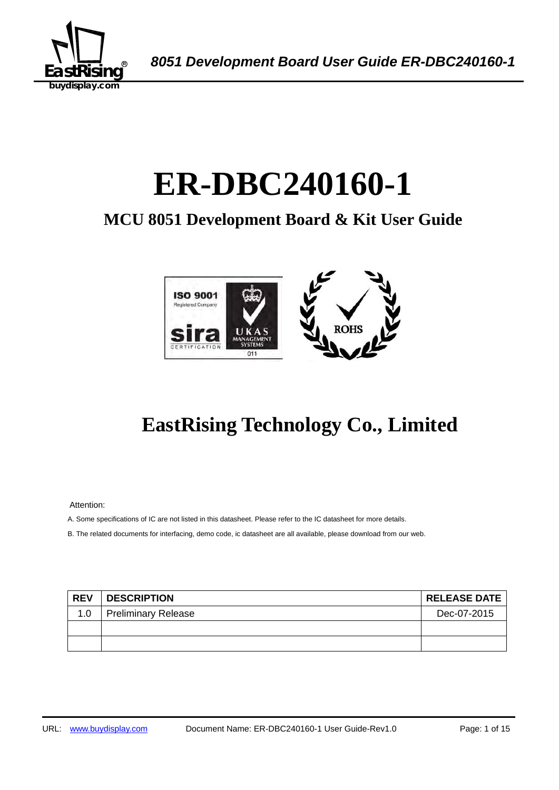

A *8051 Development Board User Guide ER-DBC240160-1* 

# ER-DBC240160-1

## **MCU 8051 Development Board & Kit User Guide**



## **EastRising Technology Co., Limited**

Attention:

A. Some specifications of IC are not listed in this datasheet. Please refer to the IC datasheet for more details.

B. The related documents for interfacing, demo code, ic datasheet are all available, please download from our web.

| <b>REV</b> | <b>DESCRIPTION</b>         | <b>RELEASE DATE</b> |
|------------|----------------------------|---------------------|
| 1.0        | <b>Preliminary Release</b> | Dec-07-2015         |
|            |                            |                     |
|            |                            |                     |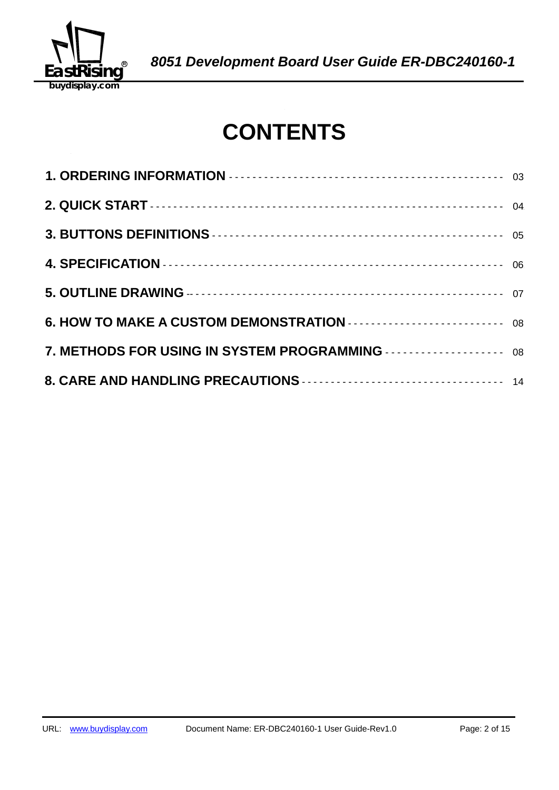

## **CONTENTS**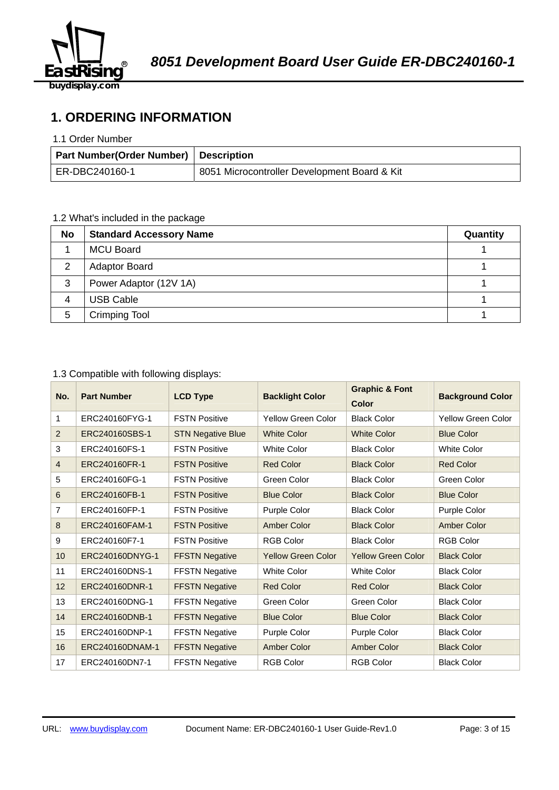

## **1. ORDERING INFORMATION**

#### 1.1 Order Number

| Part Number(Order Number)   Description |                                              |
|-----------------------------------------|----------------------------------------------|
| ER-DBC240160-1                          | 8051 Microcontroller Development Board & Kit |

## 1.2 What's included in the package

| <b>No</b> | <b>Standard Accessory Name</b> | Quantity |
|-----------|--------------------------------|----------|
|           | <b>MCU Board</b>               |          |
| 2         | <b>Adaptor Board</b>           |          |
| 3         | Power Adaptor (12V 1A)         |          |
| 4         | <b>USB Cable</b>               |          |
| 5         | <b>Crimping Tool</b>           |          |

## 1.3 Compatible with following displays:

| No. | <b>Part Number</b> | <b>LCD Type</b>          | <b>Graphic &amp; Font</b><br><b>Backlight Color</b><br>Color |                           | <b>Background Color</b>   |  |
|-----|--------------------|--------------------------|--------------------------------------------------------------|---------------------------|---------------------------|--|
| 1   | ERC240160FYG-1     | <b>FSTN Positive</b>     | <b>Yellow Green Color</b>                                    | <b>Black Color</b>        | <b>Yellow Green Color</b> |  |
| 2   | ERC240160SBS-1     | <b>STN Negative Blue</b> | <b>White Color</b>                                           | <b>White Color</b>        | <b>Blue Color</b>         |  |
| 3   | ERC240160FS-1      | <b>FSTN Positive</b>     | <b>White Color</b>                                           | <b>Black Color</b>        | <b>White Color</b>        |  |
| 4   | ERC240160FR-1      | <b>FSTN Positive</b>     | <b>Red Color</b>                                             | <b>Black Color</b>        | <b>Red Color</b>          |  |
| 5   | ERC240160FG-1      | <b>FSTN Positive</b>     | Green Color                                                  | <b>Black Color</b>        | Green Color               |  |
| 6   | ERC240160FB-1      | <b>FSTN Positive</b>     | <b>Blue Color</b>                                            | <b>Black Color</b>        | <b>Blue Color</b>         |  |
| 7   | ERC240160FP-1      | <b>FSTN Positive</b>     | Purple Color                                                 | <b>Black Color</b>        | Purple Color              |  |
| 8   | ERC240160FAM-1     | <b>FSTN Positive</b>     | <b>Amber Color</b>                                           | <b>Black Color</b>        | <b>Amber Color</b>        |  |
| 9   | ERC240160F7-1      | <b>FSTN Positive</b>     | <b>RGB Color</b>                                             | <b>Black Color</b>        | <b>RGB Color</b>          |  |
| 10  | ERC240160DNYG-1    | <b>FFSTN Negative</b>    | <b>Yellow Green Color</b>                                    | <b>Yellow Green Color</b> | <b>Black Color</b>        |  |
| 11  | ERC240160DNS-1     | <b>FFSTN Negative</b>    | <b>White Color</b>                                           | <b>White Color</b>        | <b>Black Color</b>        |  |
| 12  | ERC240160DNR-1     | <b>FFSTN Negative</b>    | <b>Red Color</b>                                             | <b>Red Color</b>          | <b>Black Color</b>        |  |
| 13  | ERC240160DNG-1     | <b>FFSTN Negative</b>    | Green Color                                                  | Green Color               | <b>Black Color</b>        |  |
| 14  | ERC240160DNB-1     | <b>FFSTN Negative</b>    | <b>Blue Color</b>                                            | <b>Blue Color</b>         | <b>Black Color</b>        |  |
| 15  | ERC240160DNP-1     | <b>FFSTN Negative</b>    | Purple Color                                                 | Purple Color              | <b>Black Color</b>        |  |
| 16  | ERC240160DNAM-1    | <b>FFSTN Negative</b>    | <b>Amber Color</b>                                           | <b>Amber Color</b>        | <b>Black Color</b>        |  |
| 17  | ERC240160DN7-1     | <b>FFSTN Negative</b>    | <b>RGB Color</b>                                             | <b>RGB Color</b>          | <b>Black Color</b>        |  |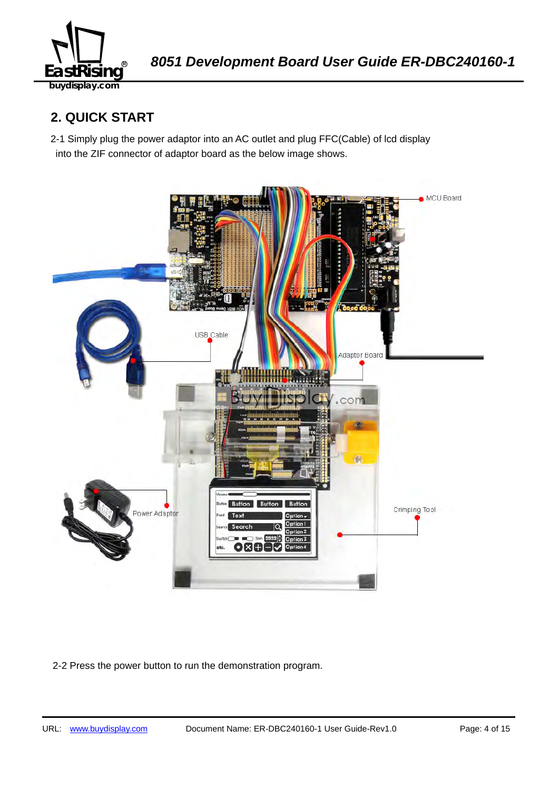

## **2. QUICK START**

2-1 Simply plug the power adaptor into an AC outlet and plug FFC(Cable) of lcd display into the ZIF connector of adaptor board as the below image shows.



2-2 Press the power button to run the demonstration program.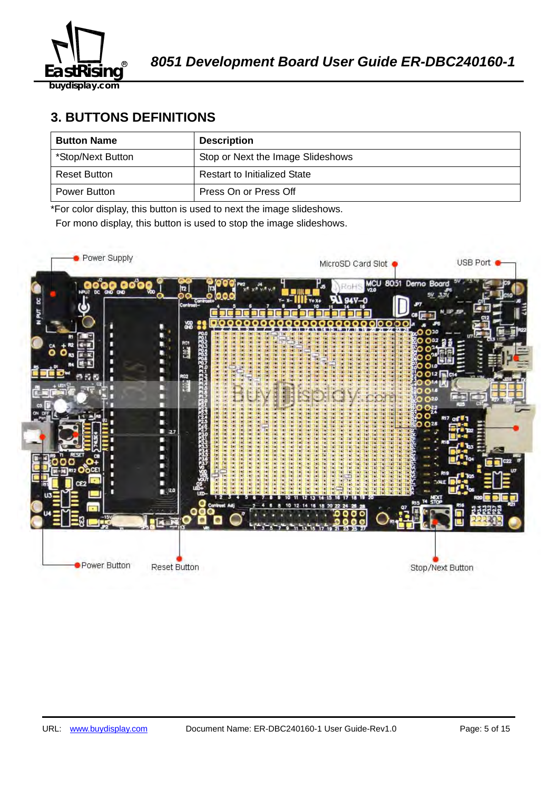

**buydisplay.com**

## **3. BUTTONS DEFINITIONS**

| <b>Button Name</b> | <b>Description</b>                  |
|--------------------|-------------------------------------|
| *Stop/Next Button  | Stop or Next the Image Slideshows   |
| Reset Button       | <b>Restart to Initialized State</b> |
| Power Button       | Press On or Press Off               |

\*For color display, this button is used to next the image slideshows.

For mono display, this button is used to stop the image slideshows.

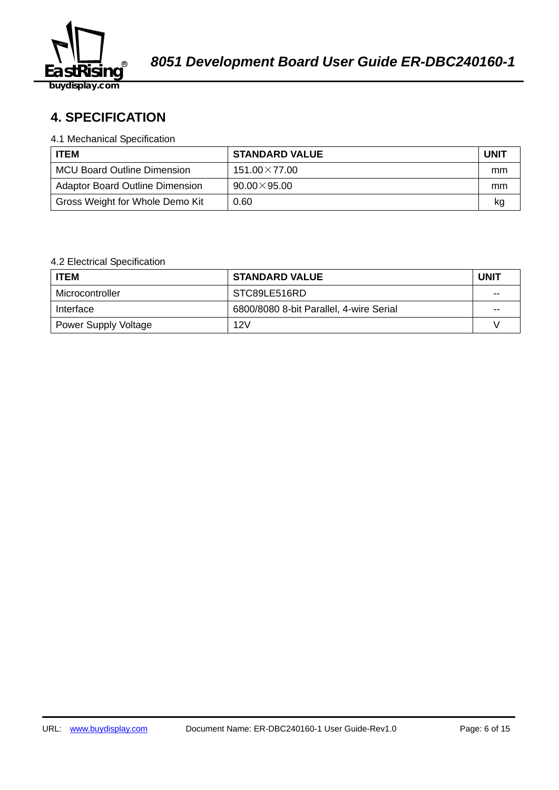

## 58B2140359**4. SPECIFICATION**

#### 4.1 Mechanical Specification

| <b>ITEM</b>                            | <b>STANDARD VALUE</b> | <b>UNIT</b> |
|----------------------------------------|-----------------------|-------------|
| <b>MCU Board Outline Dimension</b>     | $151.00\times77.00$   | mm          |
| <b>Adaptor Board Outline Dimension</b> | $90.00\times95.00$    | mm          |
| Gross Weight for Whole Demo Kit        | 0.60                  | kq          |

## 4.2 Electrical Specification

| <b>ITEM</b>                 | <b>STANDARD VALUE</b>                   | <b>UNIT</b> |
|-----------------------------|-----------------------------------------|-------------|
| Microcontroller             | STC89LE516RD                            | $-$         |
| Interface                   | 6800/8080 8-bit Parallel, 4-wire Serial | $- -$       |
| <b>Power Supply Voltage</b> | 12V                                     |             |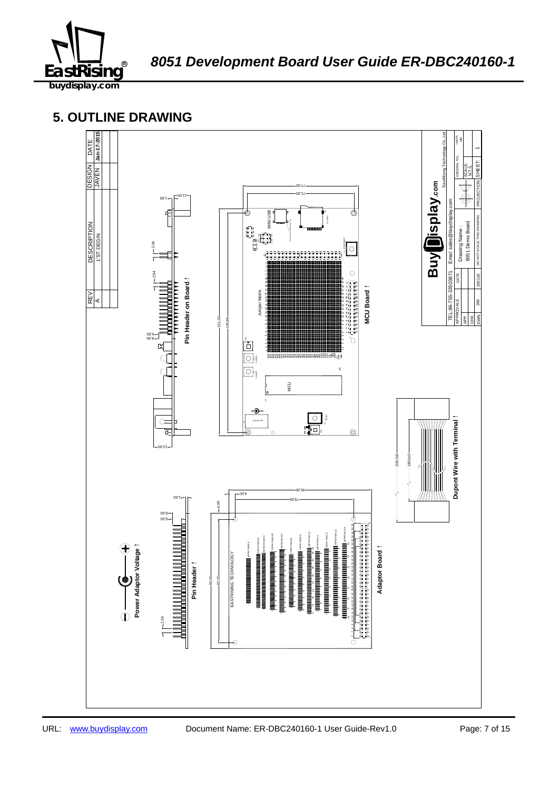

8051 Development Board User Guide ER-DBC240160-1

## **5. OUTLINE DRAWING**

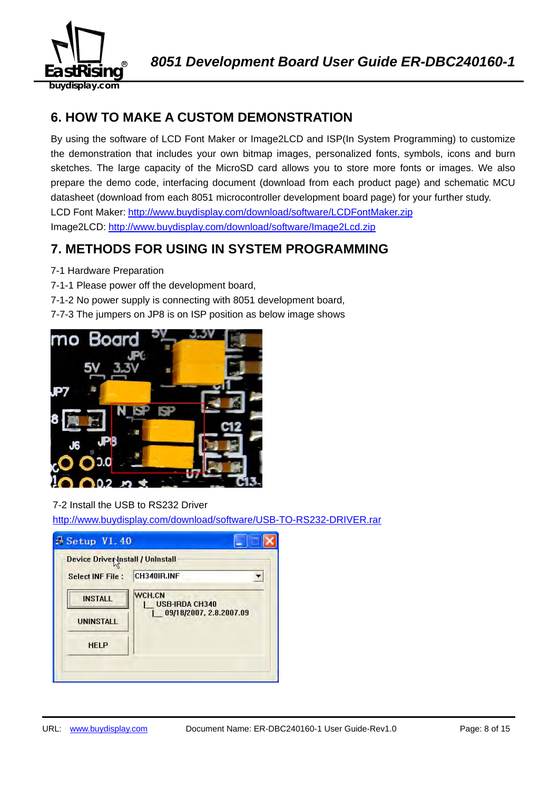

## **6. HOW TO MAKE A CUSTOM DEMONSTRATION**

By using the software of LCD Font Maker or Image2LCD and ISP(In System Programming) to customize the demonstration that includes your own bitmap images, personalized fonts, symbols, icons and burn sketches. The large capacity of the MicroSD card allows you to store more fonts or images. We also prepare the demo code, interfacing document (download from each product page) and schematic MCU datasheet (download from each 8051 microcontroller development board page) for your further study. LCD Font Maker: http://www.buydisplay.com/download/software/LCDFontMaker.zip Image2LCD: http://www.buydisplay.com/download/software/Image2Lcd.zip

## **7. METHODS FOR USING IN SYSTEM PROGRAMMING**

- 7-1 Hardware Preparation
- 7-1-1 Please power off the development board,
- 7-1-2 No power supply is connecting with 8051 development board,
- 7-7-3 The jumpers on JP8 is on ISP position as below image shows



## 7-2 Install the USB to RS232 Driver

http://www.buydisplay.com/download/software/USB-TO-RS232-DRIVER.rar

| Device Driver Install / Uninstall |                                 |
|-----------------------------------|---------------------------------|
| <b>Select INF File:</b>           | CH340IR.INF                     |
| <b>INSTALL</b>                    | WCH.CN<br><b>USB-IRDA CH340</b> |
| <b>UNINSTALL</b>                  | 09/18/2007, 2.8.2007.09         |
| <b>HELP</b>                       |                                 |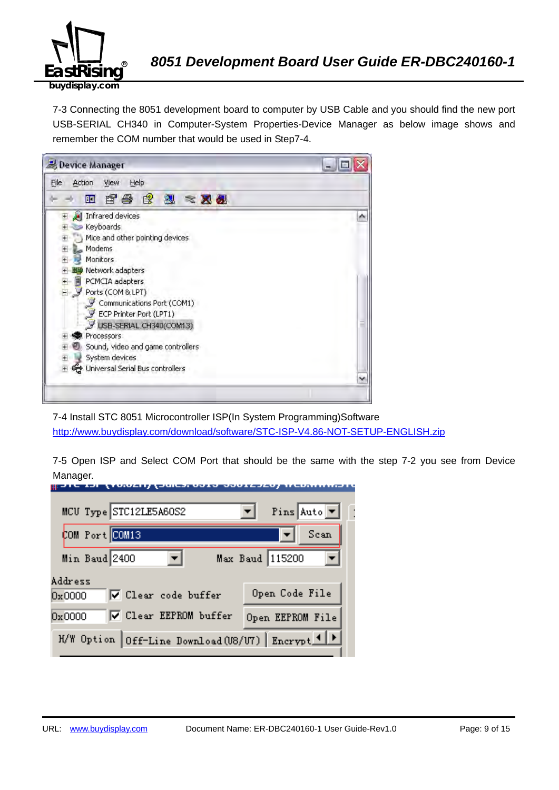

7-3 Connecting the 8051 development board to computer by USB Cable and you should find the new port USB-SERIAL CH340 in Computer-System Properties-Device Manager as below image shows and remember the COM number that would be used in Step7-4.



7-4 Install STC 8051 Microcontroller ISP(In System Programming)Software http://www.buydisplay.com/download/software/STC-ISP-V4.86-NOT-SETUP-ENGLISH.zip

7-5 Open ISP and Select COM Port that should be the same with the step 7-2 you see from Device Manager.

| MCU Type STC12LE5A60S2                            | Pins Auto $\blacktriangledown$ |
|---------------------------------------------------|--------------------------------|
| COM Port COM13                                    | Scan                           |
| Min Baud 2400                                     | Max Baud 115200                |
| Address<br>$\nabla$ Clear code buffer<br>0x0000   | Open Code File                 |
| <b>▽</b> Clear EEPROM buffer<br>0x0000            | Open EEPROM File               |
| H/W Option Off-Line Download (U8/U7) Encrypt 1  > |                                |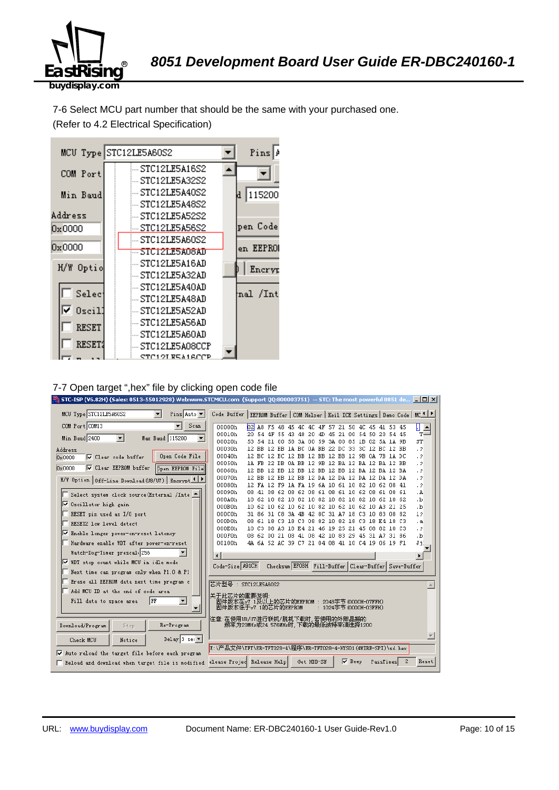

7-6 Select MCU part number that should be the same with your purchased one. (Refer to 4.2 Electrical Specification)



#### 7-7 Open target ",hex" file by clicking open code file

| STC-ISP (V6.82H) (Sales: 0513-55012928) Web:www.STCMCU.com (Support QQ:800003751) -- STC: The most powerful 8051 de $\Box$ $\Box$ |                                                                                    |                                                                                                    |  |            |     |                      |                                              |                                                                    |
|-----------------------------------------------------------------------------------------------------------------------------------|------------------------------------------------------------------------------------|----------------------------------------------------------------------------------------------------|--|------------|-----|----------------------|----------------------------------------------|--------------------------------------------------------------------|
| MCU Type STC12LE5A60S2<br>$\vert$<br>Pins Auto $\blacktriangledown$                                                               | Code Buffer                                                                        |                                                                                                    |  |            |     |                      |                                              | EEPROM Buffer   COM Helper   Keil ICE Settings   Demo Code   MCAIP |
| COM Port COM13<br>Scan                                                                                                            | 00000h<br>b2l                                                                      |                                                                                                    |  |            |     |                      | A8 F5 48 45 4C 4C 4F 57 21 50 4C 45 41 53 45 | П<br>≐                                                             |
| Min Baud 2400<br>Max Baud 115200<br>$\blacktriangledown$<br>$\blacktriangledown$                                                  | 00010h                                                                             | 20 54 4F 55 43 48 20                                                                               |  |            | -4D |                      | 45 21 00 54 50 20 54 45                      | $T =$                                                              |
|                                                                                                                                   | 00020h                                                                             | 53.<br>54                                                                                          |  |            |     |                      | 21 00 58 3A 00 59 3A 00 85 1B 02 5A 1A 9B    | ST                                                                 |
| Address                                                                                                                           | 00030h                                                                             | 12 BB 12 BB 1A BC 0A BB 22 DC 33 3C 12 BC 12 BB                                                    |  |            |     |                      |                                              | $\cdot$ 2                                                          |
| Open Code File<br><b>V</b> Clear code buffer<br>0x0000                                                                            | 00040h                                                                             | 12 BC 12 BC 12 BB 12 BB 12 BB 12 9B 0A 7B 1A DC                                                    |  |            |     |                      |                                              | $\cdot$ 2                                                          |
| <b>V</b> Clear EEPROM buffer<br><b>Open EEPROM File</b><br>$0 \times 0000$                                                        | 00050h                                                                             | 1A FB 22 DB 0A BB 12 9B 12 BA 12 BA 12 BA 12 BB                                                    |  |            |     |                      |                                              | $\cdot$ ?                                                          |
|                                                                                                                                   | 00060h<br>00070h                                                                   | 12 BB 12 BB 12 BB 12 BB 12 BB 12 BA 12 BA 12 BA<br>12 BB 12 BB 12 BB 12 DA 12 DA 12 DA 12 DA 12 DA |  |            |     |                      |                                              | $\cdot$ ?<br>$\cdot$ 2                                             |
| H/W Option   Off-Line Download (U8/U7)   Encrypt 1                                                                                | 00080h                                                                             | 12 FA 12 F9 1A FA 19 6A 10 61 10 82 10 62 08 41                                                    |  |            |     |                      |                                              | $\cdot$ ?                                                          |
|                                                                                                                                   | 00090h                                                                             | 08 41 08 62 08 62 08 61 08 61 10 62 08 61 08 61                                                    |  |            |     |                      |                                              | . A                                                                |
| Select system clock source (External /Inte                                                                                        | 000A0h                                                                             | 10 62 10 82 10 82 10 82 10 82 10 82 10 62 10 62                                                    |  |            |     |                      |                                              | ۰b.                                                                |
| V Oscillator high gain                                                                                                            | 000B0h                                                                             | 10 62 10 62 10 62 10 82 10 62 10 62 10 A3 21 25                                                    |  |            |     |                      |                                              | .b                                                                 |
| RESET pin used as I/O port                                                                                                        | 000C0h                                                                             | 31 86 31 C8 3A 4B 42 8C 31 A7 18 C3 10 83 08 82                                                    |  |            |     |                      |                                              | 12                                                                 |
| RESET2 low level detect                                                                                                           | 000D0h                                                                             | 08 61 18 C3 18 C3 08 82 10 82 18 C3 18 E4 18 C3                                                    |  |            |     |                      |                                              | $\cdot$ a                                                          |
|                                                                                                                                   | 000E0h                                                                             | 10 C3 08 A3 18 E4 21 46 19 25 21 45 08 82 10 C3                                                    |  |            |     |                      |                                              | $\cdot$ ?                                                          |
| ⊽<br>Enable longer power-on-reset latency                                                                                         | 000F0h                                                                             | 08 62 00 21 08 41 08 42 10 83 29 45 31 A7 31 86                                                    |  |            |     |                      |                                              | $\cdot$ <sub>b</sub>                                               |
| Hardware enable WDT after power-on-reset                                                                                          | 00100h                                                                             | 4A 6A 52 AC 39 C7 21 04 08 41 10 C4 19 06 19 F1                                                    |  |            |     |                      |                                              | Ji.                                                                |
| Watch-Dog-Timer prescal 256                                                                                                       |                                                                                    |                                                                                                    |  |            |     |                      |                                              |                                                                    |
| Ⅳ WDT stop count while MCU in idle mode                                                                                           | Code-Size A91CH                                                                    |                                                                                                    |  |            |     |                      |                                              | Checksum EFOBH Fill-Buffer Clear-Buffer Save-Buffer                |
| Next time can program only when P1.0 & P1                                                                                         |                                                                                    |                                                                                                    |  |            |     |                      |                                              |                                                                    |
| Erase all EEPROM data next time program c                                                                                         | 芯片型号: STC12LE5A60S2                                                                |                                                                                                    |  |            |     |                      |                                              |                                                                    |
| Add MCU ID at the end of code area                                                                                                |                                                                                    |                                                                                                    |  |            |     |                      |                                              |                                                                    |
| $\blacktriangledown$<br> FF<br>Fill data to space area                                                                            | 关于此芯片的重要说明<br>固件版本在v7.1及以上的芯片的EEPROM : 2048字节(0000H-07FFH)<br>固件版本低于v7.1的芯片的EEPROM |                                                                                                    |  |            |     | :1024字节(0000H-03FFH) |                                              |                                                                    |
|                                                                                                                                   | 注意:在使用V8/V7进行联机/脱机下载时,若使用的外部晶振的                                                    |                                                                                                    |  |            |     |                      |                                              |                                                                    |
| Re-Program<br>Download/Program<br>Stop                                                                                            | 频率为20MHz或24.576MHz时,下载的最低波特率请选择1200                                                |                                                                                                    |  |            |     |                      |                                              |                                                                    |
| Delay 3 sec $\blacktriangledown$<br>Check MCU<br>Notice                                                                           |                                                                                    |                                                                                                    |  |            |     |                      |                                              |                                                                    |
|                                                                                                                                   | E:\产品文件\TFT\ER-TFT028-4\程序\ER-TFT028-4-HYS01 (4WIRE-SPI)\sd.hex                    |                                                                                                    |  |            |     |                      |                                              |                                                                    |
| Auto reload the target file before each program                                                                                   |                                                                                    |                                                                                                    |  |            |     |                      |                                              |                                                                    |
| Reload and download when target file is modified                                                                                  | elease Projed Release Help                                                         |                                                                                                    |  | Get HDD-SN |     | <b>▽</b> Beep        | PassTimes                                    | 2<br>Reset                                                         |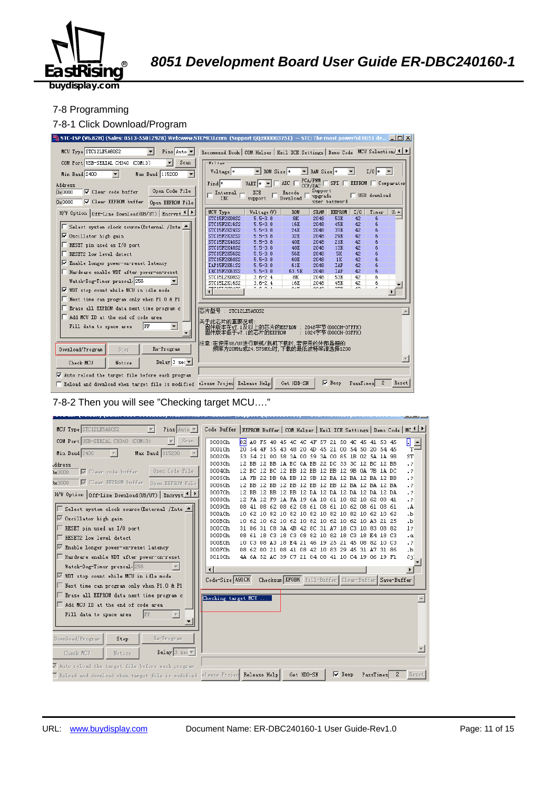

**buydisplay.com**

#### 7-8 Programming

#### 7-8-1 Click Download/Program



#### 7-8-2 Then you will see "Checking target MCU…."

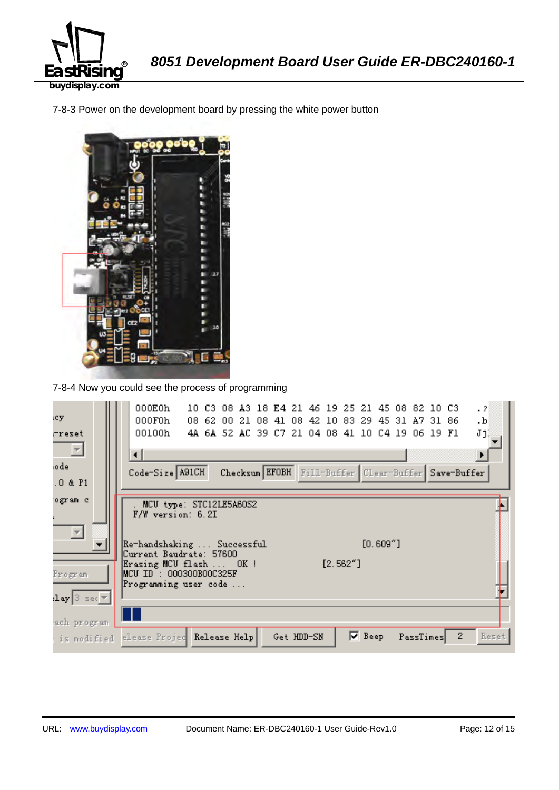

7-8-3 Power on the development board by pressing the white power button



7-8-4 Now you could see the process of programming

| icy.                                                | 000E0h<br>$\cdot$ ?<br>10 C3 08 A3 18 E4 21 46 19 25 21 45 08 82 10 C3<br>000F0h<br>08 62 00 21 08 41 08 42 10 83 29 45 31 A7 31 86<br>.b |
|-----------------------------------------------------|-------------------------------------------------------------------------------------------------------------------------------------------|
| rreset<br>$\vert \nabla \vert$                      | JjĮ<br>00100h<br>4A 6A 52 AC 39 C7 21 04 08 41 10 C4 19 06 19 F1<br>◂                                                                     |
| iode<br>.0 & P1                                     | Code-Size A91CH<br>Checksum EFOBH Fill-Buffer Clear-Buffer Save-Buffer                                                                    |
| ogram c                                             | MCU type: STC12LE5A60S2                                                                                                                   |
|                                                     | $F/W$ version: 6.2I                                                                                                                       |
|                                                     | $[0.609"$ ]<br> Re-handshaking  Successful <br>Current Baudrate: 57600<br>$[2.562"$ ]<br>Erasing MCU flash  OK!                           |
| Program<br>$\texttt{lay}[\texttt{3} \texttt{ sec}]$ | MCU ID : 000300B00C325F<br>Programming user code                                                                                          |
| ach program                                         |                                                                                                                                           |
| : is modified                                       | $2^{\circ}$<br>Reset<br>$\nabla$ Beep<br>elease Projec Release Help<br>PassTimes<br>Get HDD-SN                                            |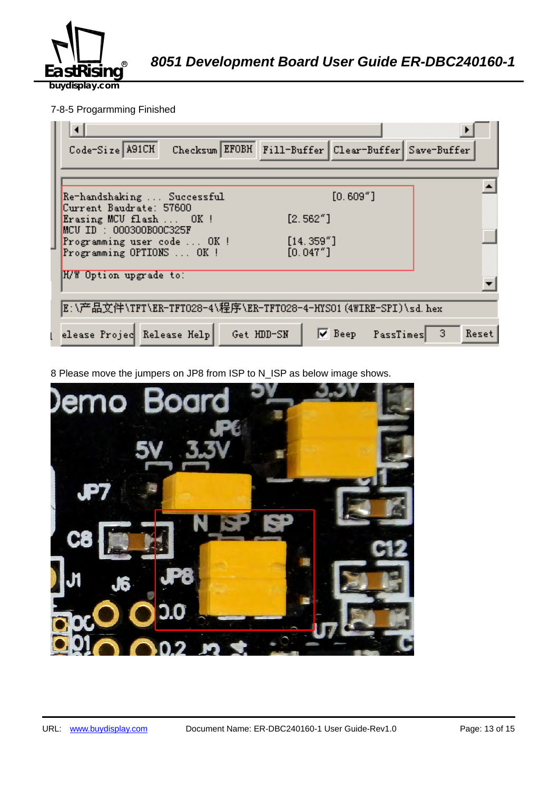

8051 Development Board User Guide ER-DBC240160-1

**buydisplay.com**

## 7-8-5 Progarmming Finished

| Checksum EFOBH Fill-Buffer Clear-Buffer Save-Buffer<br>Code-Size A91CH                                 |
|--------------------------------------------------------------------------------------------------------|
|                                                                                                        |
| $[0.609"$ ]<br>Re-handshaking  Successful<br>Current Baudrate: 57600                                   |
| [2.562"]<br>Erasing MCU flash  OK !<br>$MCU$ ID : 000300B00C325F                                       |
| [14.359'']<br>Programming user code  OK !<br>[0.047"]<br>Programming OPTIONS  OK !                     |
| H/W Option upgrade to:                                                                                 |
| E:\产品文件\TFT\ER-TFTO28-4\程序\ER-TFTO28-4-HYSO1(4WIRE-SPI)\sd.hex                                         |
| $\nabla$ Beep PassTimes<br>elease Projec Release Help<br>$\blacktriangleleft$ 3<br>Get HDD-SN<br>Reset |

8 Please move the jumpers on JP8 from ISP to N\_ISP as below image shows.

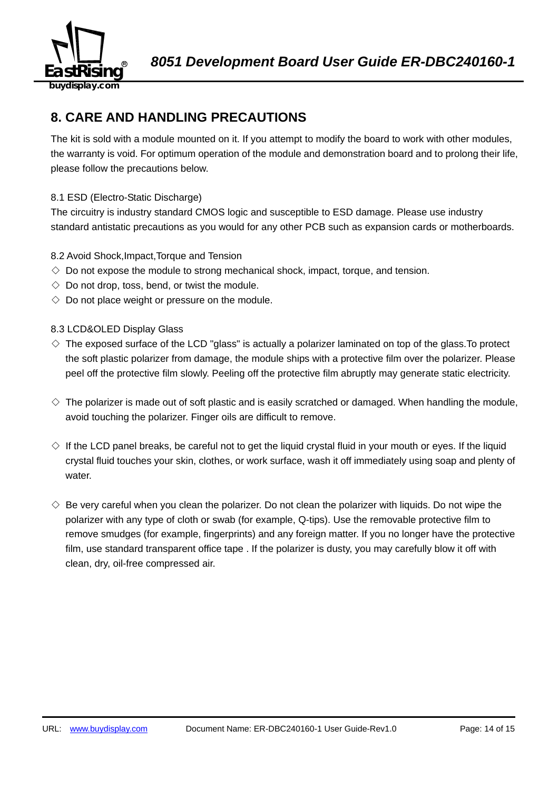

## **8. CARE AND HANDLING PRECAUTIONS**

The kit is sold with a module mounted on it. If you attempt to modify the board to work with other modules, the warranty is void. For optimum operation of the module and demonstration board and to prolong their life, please follow the precautions below.

## 8.1 ESD (Electro-Static Discharge)

The circuitry is industry standard CMOS logic and susceptible to ESD damage. Please use industry standard antistatic precautions as you would for any other PCB such as expansion cards or motherboards.

## 8.2 Avoid Shock,Impact,Torque and Tension

- $\Diamond$  Do not expose the module to strong mechanical shock, impact, torque, and tension.
- $\Diamond$  Do not drop, toss, bend, or twist the module.
- $\Diamond$  Do not place weight or pressure on the module.

## 8.3 LCD&OLED Display Glass

- $\diamond$  The exposed surface of the LCD "glass" is actually a polarizer laminated on top of the glass. To protect the soft plastic polarizer from damage, the module ships with a protective film over the polarizer. Please peel off the protective film slowly. Peeling off the protective film abruptly may generate static electricity.
- $\diamond$  The polarizer is made out of soft plastic and is easily scratched or damaged. When handling the module, avoid touching the polarizer. Finger oils are difficult to remove.
- $\Diamond$  If the LCD panel breaks, be careful not to get the liquid crystal fluid in your mouth or eyes. If the liquid crystal fluid touches your skin, clothes, or work surface, wash it off immediately using soap and plenty of water.
- $\diamondsuit$  Be very careful when you clean the polarizer. Do not clean the polarizer with liquids. Do not wipe the polarizer with any type of cloth or swab (for example, Q-tips). Use the removable protective film to remove smudges (for example, fingerprints) and any foreign matter. If you no longer have the protective film, use standard transparent office tape . If the polarizer is dusty, you may carefully blow it off with clean, dry, oil-free compressed air.